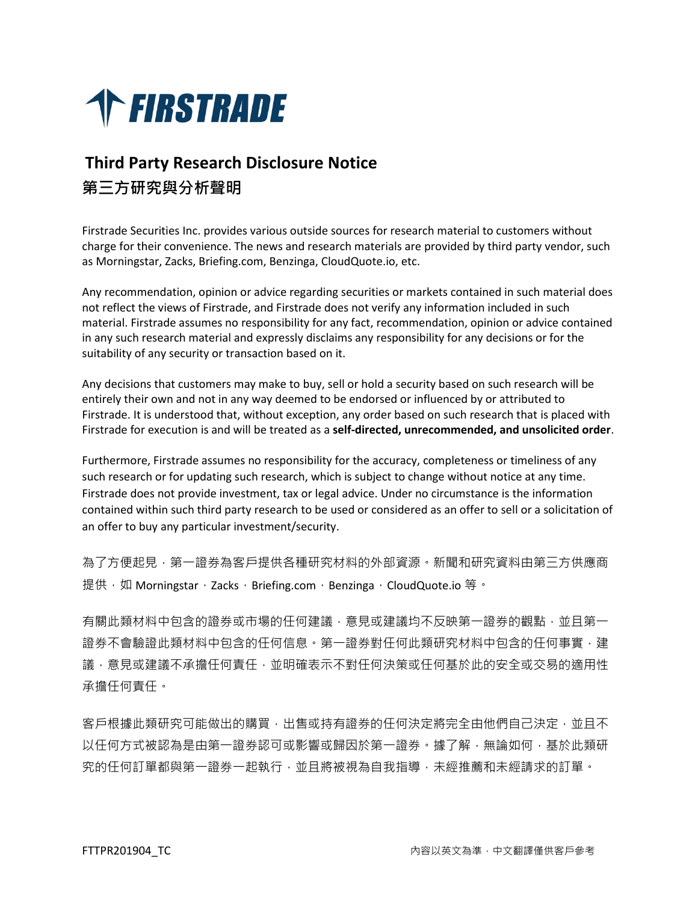

## **Third Party Research Disclosure Notice 第三方研究與分析聲明**

Firstrade Securities Inc. provides various outside sources for research material to customers without charge for their convenience. The news and research materials are provided by third party vendor, such as Morningstar, Zacks, Briefing.com, Benzinga, CloudQuote.io, etc.

Any recommendation, opinion or advice regarding securities or markets contained in such material does not reflect the views of Firstrade, and Firstrade does not verify any information included in such material. Firstrade assumes no responsibility for any fact, recommendation, opinion or advice contained in any such research material and expressly disclaims any responsibility for any decisions or for the suitability of any security or transaction based on it.

Any decisions that customers may make to buy, sell or hold a security based on such research will be entirely their own and not in any way deemed to be endorsed or influenced by or attributed to Firstrade. It is understood that, without exception, any order based on such research that is placed with Firstrade for execution is and will be treated as a **self-directed, unrecommended, and unsolicited order**.

Furthermore, Firstrade assumes no responsibility for the accuracy, completeness or timeliness of any such research or for updating such research, which is subject to change without notice at any time. Firstrade does not provide investment, tax or legal advice. Under no circumstance is the information contained within such third party research to be used or considered as an offer to sell or a solicitation of an offer to buy any particular investment/security.

為了方便起見,第一證券為客戶提供各種研究材料的外部資源。新聞和研究資料由第三方供應商 提供, 如 Morningstar, Zacks, Briefing.com, Benzinga, CloudQuote.io 等。

有關此類材料中包含的證券或市場的任何建議,意見或建議均不反映第一證券的觀點,並且第一 證券不會驗證此類材料中包含的任何信息。第一證券對任何此類研究材料中包含的任何事實,建 議,意見或建議不承擔任何責任,並明確表示不對任何決策或任何基於此的安全或交易的適用性 承擔任何責任。

客戶根據此類研究可能做出的購買,出售或持有證券的任何決定將完全由他們自己決定,並且不 以任何方式被認為是由第一證券認可或影響或歸因於第一證券。據了解,無論如何,基於此類研 究的任何訂單都與第一證券一起執行,並且將被視為自我指導,未經推薦和未經請求的訂單。